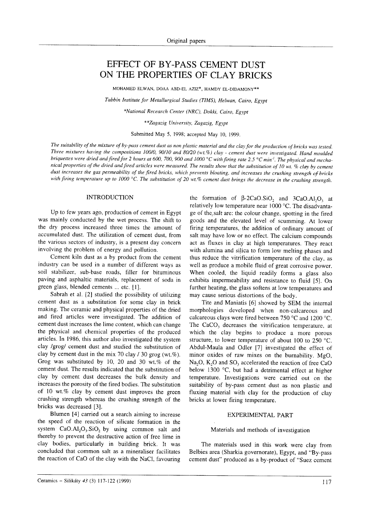# EFFECT OF BY-PASS CEMENT DUST ON THE PROPERTIES OF CLAY BRICKS

MOHAMED ELWAN, DOAA ABD-EL AZIZ\*, HAMDY EL-DIDAMONY\*\*

Tabbin Institute for Metallurgical Studies (TIMS), Helwan, Cairo, Egypt

\*National Recearch Center (NRC), Dokki, Cairo, Egypt

\*\*Zagazig University, Zagazig, Egypt

Submitted May 5, 1998; accepted May 10, 1999.

The suitability of the mixture of by-pass cement dust as non plastic material and the clay for the production of bricks was tested. Three mixtures having the compositions 100/0, 90/10 and 80/20 (wt.%) clay - cement dust were investigated. Hand moulded briquettes were dried and fired for 2 hours at 600, 700, 900 and 1000 °C with firing rate 2.5 °C min<sup>1</sup>. The physical and mechanical properties of the dried and fired articles were measured. The results show that the substitution of 10 wt. % clay by cement dust increases the gas permeability of the fired bricks, which prevents bloating, and increases the crushing strength of bricks with firing temperature up to 1000 °C. The substitution of 20 wt.% cement dust brings the decrease in the crushing strength.

#### INTRODUCTION

Up to few years ago, production of cement in Egypt was mainly conducted by the wet process. The shift to the dry process increased three times the amount of accumulated dust. The utilization of cement dust, from the various sectors of industry, is a present day concern involving the problem of energy and pollution.

Cement kiln dust as a by product from the cement industry can be used in a number of different ways as soil stabilizer, sub-base roads, filler for bituminous paving and asphaltic materials, replacement of soda in green glass, blended cements ... etc. [].

Sabrah et al. [2] studied the possibility of utilizing cement dust as a substitution for some clay in brick making. The ceramic and physical properties of the dried and fired articles were investigated. The addition of cement dust increases the lime content, which can change the physical and chemical properties of the produced articles. In 1986, this author also investigated the system clay /grog/ cement dust and studied the substitution of clay by cement dust in the mix 70 clay  $\ell$  30 grog (wt.%). Grog was substituted by 10,20 and 30 wt.% of the cement dust. The results indicated that the substitution of clay by cement dust decreases the bulk density and increases the porosity of the fired bodies. The substitution of 10 wt.% clay by cement dust improves the green crushing strength whereas the crushing strength of the bricks was decreased [3].

Blumen [4] carried out a search aiming to increase the speed of the reaction of silicate formation in the system  $CaO.AI<sub>2</sub>O<sub>3</sub>.SiO<sub>2</sub>$  by using common salt and thereby to prevent the destructive action of free lime in clay bodies, particularly in building brick. It was concluded that common salt as a mineraliser facilitates the reaction of CaO of the clay with the NaCl, favouring

the formation of  $\beta$ -2CaO.SiO<sub>2</sub> and 3CaO.Al<sub>2</sub>O<sub>3</sub> at relatively low temperature near 1000 °C. The disadvantage of the,salt are: the colour change, spotting in the fired goods and the elevated level of scumming. At lower firing temperatures, the addition of ordinary amount oť salt may have low or no effect. The calcium compounds act as fluxes in clay at high temperatures. They react with alumina and silica to form low melting phases and thus reduce the vitrification temperature of the clay, as well as produce a mobile fluid of great corrosive power. When cooled, the liquid readily forms a glass also exhibits impermeability and resistance to fluid [5]. On further heating, the glass softens at low temperatures and may cause serious distortions of the body.

Tite and Maniatis [6] showed by SEM the inrernal morphologies developed when non-calcareous and calcareous clays were fired between 750 "C and 1200 "C. The  $CaCO<sub>3</sub>$  decreases the vitrification temperature, at which the clay begins to produce a more porous structure, to lower temperature of about 100 to 250  $^{\circ}$ C. Abdul-Maula and Odler [7] investigated the effect of minor oxides of raw mixes on the burnability. MgO,  $Na<sub>2</sub>O$ ,  $K<sub>2</sub>O$  and  $SO<sub>3</sub>$  accelerated the reaction of free CaO below 1300  $\degree$ C, but had a detrimental effect at higher temperature. Investigations were carried out on the suitability of by-pass cement dust as non plastic and fluxing material with clay for the production of clay bricks at lower firing temperature.

#### EXPERIMENTAL PART

## Materials and methods of investigation

The materials used in this work were clay from Belbies area (Sharkia governorate), Egypt, and "By-pass cement dust" produced as a by-product of "Suez cement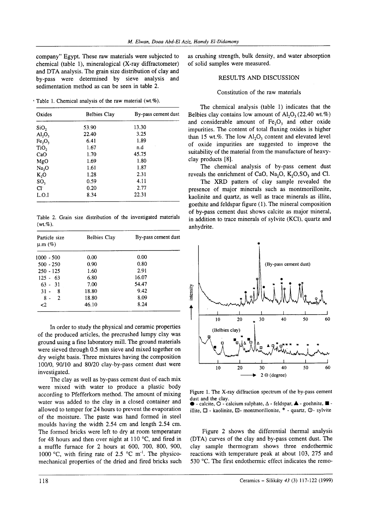company" Egypt. These raw materials were subjected to chemical (table l), mineralogical (X-ray diffractometer) and DTA analysis. The grain size distribution of clay and by-pass were determined by sieve analysis and sedimentation method as can be seen in table 2.

' Table 1. Chemical analysis of the raw material (wt.%).

| Oxides                         | <b>Belbies Clay</b> | By-pass cement dust |
|--------------------------------|---------------------|---------------------|
| SiO <sub>2</sub>               | 53.90               | 13.30               |
| $\text{Al}_2\text{O}_3$        | 22.40               | 3.25                |
| Fe <sub>2</sub> O <sub>3</sub> | 6.41                | 1.89                |
| TiO <sub>2</sub>               | 1.67                | n.d                 |
| CaO                            | 1.70                | 45.75               |
| MgO                            | 1.69                | 1.80                |
| Na <sub>2</sub> O              | 1.61                | 1.87                |
| $K_2O$                         | 1.28                | 2.31                |
| SO <sub>3</sub>                | 0.59                | 4.11                |
| Cl <sub>1</sub>                | 0.20                | 2.77                |
| L.O.I                          | 8.34                | 22.31               |

Table 2. Grain size distribution of the investigated materials  $(wt.\%)$ .

| Particle size<br>$\mu$ .m $(\%)$ | <b>Belbies Clay</b> | By-pass cement dust |
|----------------------------------|---------------------|---------------------|
| 1000 - 500                       | 0.00                | 0.00                |
| $500 - 250$                      | 0.90                | 0.80                |
| $250 - 125$                      | 1.60                | 2.91                |
| $125 - 63$                       | 6.80                | 16.07               |
| $63 - 31$                        | 7.00                | 54.47               |
| $31 -$<br>- 8                    | 18.80               | 9.42                |
| $8 -$<br>2                       | 18.80               | 8.09                |
| $\mathbf{C}^2$                   | 46.10               | 8.24                |

In order to study the physical and ceramic properties of the produced articles, the precrushed lumpy clay was ground using a fine laboratory mill. The ground materials were sieved through 0.5 mm sieve and mixed together on dry weight basis. Three mixtures having the composition 100/0, 90/10 and 80/20 clay-by-pass cement dust were investigated.

The clay as well as by-pass cement dust of each mix were mixed with water to produce a plastic body according to Pfefferkorn method. The amount of mixing water was added to the clay in a closed container and allowed to temper for 24 hours to prevent the evaporation of the moisture. The paste was hand formed in steel moulds having the width 2.54 cm and length 2.54 cm. The formed bricks were left to dry at room temperature for 48 hours and then over night at 110  $\degree$ C, and fired in a muffle furnace for 2 hours at 600, 700, 800, 900, 1000 °C, with firing rate of 2.5 °C m<sup>-1</sup>. The physicomechanical properties of the dried and fired bricks such as crushing strength, bulk density, and water absorption of solid samples were measured.

# RESULTS AND DISCUSSION

#### Constitution of the raw materials

The chemical analysis (table l) indicates that the Belbies clay contains low amount of  $Al_2O_2(22.40 \text{ wt.}\%)$ and considerable amount of  $Fe<sub>2</sub>O<sub>3</sub>$  and other oxide impurities. The content of total fluxing oxides is higher than 15 wt.%. The low  $Al_2O_3$  content and elevated level of oxide impurities are suggested to improve the suitability of the material from the manufacture of heavyclay products [8].

The chemical analysis of by-pass cement dust reveals the enrichment of CaO, Na<sub>2</sub>O,  $K<sub>2</sub>OSO<sub>2</sub>$  and Cl.

The XRD pattern of clay sample revealed the presence of major minerals such as montmorillonite, kaolinite and quartz, as well as trace minerals as illite, goethite and feldspar figure (1). The mineral composition of by-pass cement dust shows calcite as major mineral, in addition to trace minerals of sylvite (KCl), quartz and anhydrite.



Figure l. The X-ray diffraction spectrum of the by-pass cement dust and the clav.

 $\bullet$  - calcite,  $\bigcirc$  - calcium sulphate,  $\Delta$  - feldspar,  $\blacktriangle$  - goehnite,  $\blacksquare$  illite,  $\Box$  - kaolinite,  $\Box$ - montmorillonite,  $*$  - quartz,  $\odot$ - sylvite

Figure 2 shows the differential thermal analysis (DTA) curves of the clay and by-pass cement dust. The clay sample thermogram shows three endothermic reactions with temperature peak at about 103, 275 and 530'C. The first endothermic effect indicates the remo-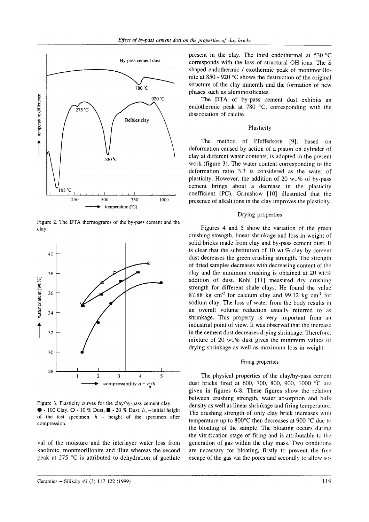

Figure 2. The DTA thermograms of the by-pass cement and the clay.



Figure 3. Plasticity curves for the clay/by-pass cement clay.  $\bullet$  - 100 Clay,  $\circ$  - 10 % Dust,  $\blacksquare$  - 20 % Dust;  $h_0$  – initial height of the test specimen,  $h$  - height of the specimen after compression.

val of the moisture and the interlayer water loss from kaolinite, montmorillonite and illite whereas the second peak at 275  $\degree$ C is attributed to dehydration of goethite present in the clay. The third endothermal at 530 "C corresponds with the loss of structural OH ions. The S shaped endothermic / exothermic peak of montmorillonite at 850 - 920'C shows the destruction of the original structure of the clay minerals and the formation of new phases such as aluminosilicates.

The DTA of by-pass cement dust exhibits an endothermic peak at 780  $^{\circ}$ C, corresponding with the dissociation of calcite.

# **Plasticity**

The method of Pfefferkorn [9], based on deformation caused by action of a piston on cylinder of clay at different water contents, is adopted in the present work (figure 3). The water content corresponding to the deformation ratio 3.3 is considered as the water of plasticity. However, the addition of 20 wt. $%$  of by-pass cement brings about a decrease in the plasticity coefficient  $(PC)$ . Grimshow  $[10]$  illustrated that the presence of alkali ions in the clay improves the plasticity.

## Drying properties

Figures 4 and 5 show the variation of the green crushing strength, linear shrinkage and loss in weight of solid bricks made from clay and by-pass cement dust. It is clear that the substitution of  $10$  wt.% clay by cement dust decreases the green crushing strength. The strength of dried samples decreases with decreasing content of thc clay and the minimum crushing is obtained at 20 wt.% addition of dust. Kohl [11] measured dry crushing strength for different shale clays. He found the value 87.88 kg cm<sup>-2</sup> for calcium clay and 99.12 kg cm<sup>-2</sup> for sodium clay. The loss of water from the body results in an overall volume reduction usually referred to as shrinkage. This property is very important from an industrial point of view. It was observed that the increasc in the cement dust decreases drying shrinkage. Thereforc, mixture of 20 wt. $%$  dust gives the minimum values of drying shrinkage as well as maximum loss in weight.

#### Firing properties

The physical properties of the clay/by-pass cement dust bricks fired at 600, 700, 800, 900, 1000 °C are given in figures 6-8. These figures show the relation between crushing strength, water absorption and bulk density as well as linear shrinkage and firing temperature. The crushing strength of only clay brick increases with temperature up to  $800^{\circ}$ C then decreases at 900  $^{\circ}$ C due to the bloating of the sample. The bloating occurs during the vitrification stage of firing and is attributable to the generation of gas within the clay mass. Two conditions are necessary for bloating, firstly to prevent the free escape of the gas via the pores and secondly to allow so-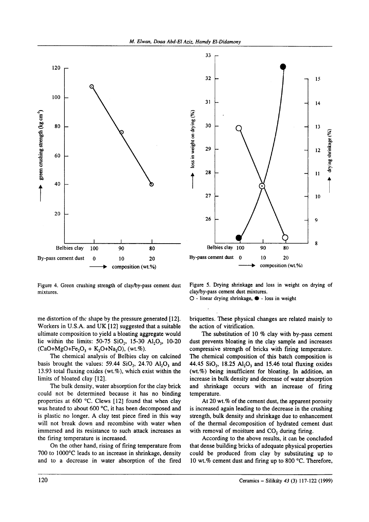



Figure 4. Green crushing strength of clay/by-pass cement dust mixtures.

Figure 5. Drying shrinkage and loss in weight on drying of clay/by-pass cement dust mixtures.

 $O$  - linear drying shrinkage,  $\bullet$  - loss in weight

me distortion of the shape by the pressure generated [12]. Workers in U.S.A. and UK [12] suggested that a suitable ultimate composition to yield a bloating aggregate would lie within the limits:  $50-75$  SiO<sub>2</sub>, 15-30 Al<sub>2</sub>O<sub>3</sub>, 10-20  $(CaO+MgO+Fe<sub>2</sub>O<sub>3</sub> + K<sub>2</sub>O+Na<sub>2</sub>O), (wt.%)$ .

The chemical analysis of Belbies clay on calcined basis brought the values:  $59.44$  SiO<sub>2</sub>, 24.70 Al<sub>2</sub>O<sub>3</sub> and 13.93 total fluxing oxides (wt.%), which exist within the limits of bloated clay [12].

The bulk density, water absorption for the clay brick could not be determined because it has no binding properties at 600 °C. Clews  $[12]$  found that when clay was heated to about 600  $^{\circ}C$ , it has been decomposed and is plastic no longer. A clay test piece fired in this way will not break down and recombine with water when immersed and its resistance to such attack increases as the firing temperature is increased.

On the other hand, rising of firing temperature from 700 to 1000°C leads to an increase in shrinkage, density and to a decrease in water absorption of the fired briquettes. These physical changes are related mainly to the action of vitrification.

The substitution of 10  $%$  clay with by-pass cement dust prevents bloating in the clay sample and increases compressive strength of bricks with firing temperature. The chemical composition of this batch composition is 44.45 SiO<sub>2</sub>, 18.25 Al<sub>2</sub>O<sub>3</sub> and 15.46 total fluxing oxides (wt.%) being insufficient for bloating. In addition, an increase in bulk density and decrease of water absorption and shrinkage occurs with an increase of firing temperature.

At 20 wt.% of the cement dust, the apparent porosity is increased again leading to the decrease in the crushing strength, bulk density and shrinkage due to enhancement of the thermal decomposition of hydrated cement dust with removal of moisture and CO<sub>2</sub> during firing.

According to the above results, it can be concluded that dense building bricks of adequate physical properties could be produced from clay by substituting up to 10 wt.% cement dust and firing up to 800  $^{\circ}$ C. Therefore,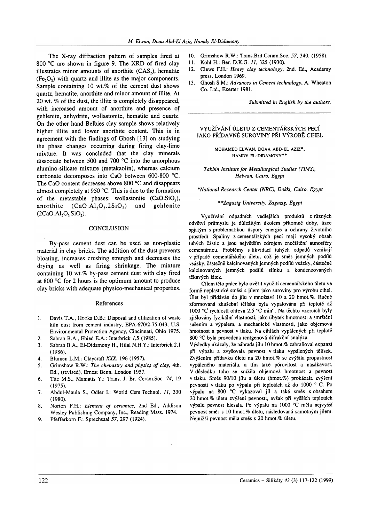The X-ray diffraction pattern of samples fired at 800 °C are shown in figure 9. The XRD of fired clay illustrates minor amounts of anorthite  $(CAS_2)$ , hematite  $(Fe<sub>2</sub>O<sub>3</sub>)$  with quartz and illite as the major components. Sample containing  $10 \text{ wt. } \%$  of the cement dust shows quartz, hematite, anorthite and minor amount of illite. At 20 wt. % of the dust, the illite is completely disappeared, with increased amount of anorthite and presence of gehlenite, anhydrite, wollastonite, hematite and quartz. On the other hand Belbies clay sample shows relatively higher illite and lower anorthite content. This is in agreement with the findings of Ghosh [13] on studying the phase changes occurring during firing clay-lime mixture. It was concluded that the clay minerals dissociate between 500 and 700 $\degree$ C into the amorphous alumino-silicate mixture (metakaolin), whereas calcium carbonate decomposes into CaO between 600-800 "C. The CaO content decreases above  $800^{\circ}$ C and disappears almost completely at 950'C. This is due to the formation of the metastable phases: wollastonite  $(CaO.SiO<sub>2</sub>)$ , anorthite  $(CaO.A1<sub>2</sub>O<sub>3</sub>.2SiO<sub>2</sub>)$  and gehlenite  $(2CaO.A1<sub>2</sub>O<sub>3</sub>SiO<sub>2</sub>).$ 

## **CONCLUSION**

By-pass cement dust can be used as non-plastic material in clay bricks. The addition of the dust prevents bloating, increases crushing strength and decreases the drying as well as firing shrinkage. The mixture containing  $10$  wt.% by-pass cement dust with clay fired at 800 'C for 2 hours is the optimum amount to produce clay bricks with adequate physico-mechanical properties.

#### References

- Davis T.A., Hooks D.B.: Disposal and utilization of waste kiln dust from cement industry, EPA-67012-75-043, U.S. Environmental Protection Agency, Cincinnati, Ohio 1975. l.
- Sabrah B.A., Ebied E.A.: Interbrick /,5 (1985). 2.
- J.
- 4.
- 5.
- 6.
- $7<sup>7</sup>$
- 8.
- 9.
- 10. Grimshow R.W.: Trans.Brit.Ceram.Soc. 57, 340, (1958).
- 11. Kohl H.: Ber. D.K.G. 11,325 (1930).
- 12. Clews F.H.: Heavy clay technology, 2nd. Ed., Academy press, London l9ó9.
- 13. Ghosh S.M.: Advances in Cement technology, A. Wheaton Co. Ltd., Exerter 1981.

Submitted in English by the authors.

# vYUŽÍvÁNÍ Úlpru z cEMENTÁŘsKÝcH PEcÍ JAKo PŘÍDAVNÉ sURovINY PŘI vÝnosĚ CIHEL

MoHAMED ELWAN. DoAA ABD.EL AzIz\*, HAMDY EL-DIDAMoNY\*\*

Tabbin Institute for Metallurgical Studies (TIMS), Helwan, Cairo, Egypt

\*National Recearch Center (NRC), Dokki, Cairo, Egypt

#### \*\* Zagazig University, Zagazig, Egypt

Využívání odpadních vedlejších produktů z různých odvětví průmyslu je důležitým úkolem přítomné doby, úzce spjatým s problematikou úspory energie a ochrany životního prosředí. Spaliny z cementářských pecí mají vysoký obsah tuhých částic a jsou největším zdrojem znečištěnÍ atmosféry cementárnou. Problémy s likvidací tuhých odpadů vznikají v případě cementářského úletu, což je směs jemných podílů vsázky, částečně kalcinovaných jemných podílů vsázky, částečně kalcinovaných jemných podílů slínku a kondenzovaných těkavých |átek.

Cílem této práce bylo ověřit využití cementářského ú|etu ve formě neplastické směsi s jflem jako suroviny pro výrobu cihe|. Úlet byl přidáván do jílu v množství 10 a 20 hmot.%. Ručně zformovaná zkušební tělíska byla vypalována při teplotě až 1000 °C rychlostí ohřevu 2,5 °C min<sup>1</sup>. Na těchto vzorcích byly zjišřovány tyziká|nÍ vlastnosti, jako úbytek hmotnosti a smrštění sušením a výpalem, a mechanické vlastnosti, jako objemová hmotnost a pevnost v tlaku. Na cihlách vypálených při teplotě 800 °C byla provedena rentgenová difrakční analýza.

Sabrah B.A., El-Didamony H., Hilal N.H.Y.: Interbrick 2,1 Výsledky ukázaly, že náhrada jílu 10 hmot.% zabraňoval expanzi (1986). při výpa|u a zvyšovala pevnost v tlaku vypálených tělísek. Blumen L.M.: Claycraft XXX, 196 (1957). Zvýšením přídavku úletu na 20 hmot.% se zvýšila propustnost Grimshaw R.W.: The chemistry and physics of clay, 4th. vypáleného materiálu, a tím také pórovitost a nasákavost. Ed., (revised), Ernest Benn, London 1957. V důsledku toho se snížila objemová hmotnost a pevnost Tite M.S., Maniatis Y.: Trans. J. Br. Ceram.Soc. 74, |9 v tlaku. Směs 90/10 jílu a ú|etu (hmot.7o) prokázala zvýšení (1975). pevnosti v tlaku po výpalu při teplotách až do 1000 ° C. Po Abdul-Maula S., Odler I.: World Cem.Technol. 11, 330 výpalu na 800 °C vykazoval jíl a také směs s obsahem (1980). 20hmot,7o úletu zvýšení pevnosti, avšak při vyšších teplotách Norton F.H.: Element of ceramics, 2nd Ed., Addison výpalu pevnost klesala. Po výpalu na 1000 °C měla nejvyšší Wesley Publishing Company, Inc., Reading Mass. 1974. pevnost směs s 10 hmot.% úletu, následovaná samotným jílem. Pfefferkorn F.: Sprechsaal 57, 297 (1924). Nejnižší pevnost měla směs s 20 hmot.% úletu.